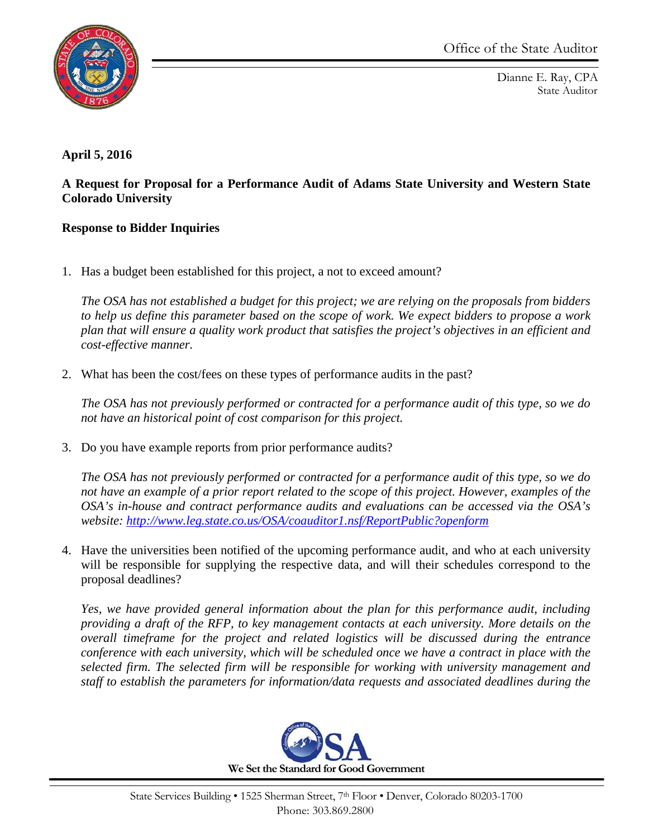

Dianne E. Ray, CPA State Auditor

## **April 5, 2016**

## **A Request for Proposal for a Performance Audit of Adams State University and Western State Colorado University**

## **Response to Bidder Inquiries**

1. Has a budget been established for this project, a not to exceed amount?

*The OSA has not established a budget for this project; we are relying on the proposals from bidders to help us define this parameter based on the scope of work. We expect bidders to propose a work plan that will ensure a quality work product that satisfies the project's objectives in an efficient and cost-effective manner.*

2. What has been the cost/fees on these types of performance audits in the past?

*The OSA has not previously performed or contracted for a performance audit of this type, so we do not have an historical point of cost comparison for this project.*

3. Do you have example reports from prior performance audits?

*The OSA has not previously performed or contracted for a performance audit of this type, so we do not have an example of a prior report related to the scope of this project. However, examples of the OSA's in-house and contract performance audits and evaluations can be accessed via the OSA's website:<http://www.leg.state.co.us/OSA/coauditor1.nsf/ReportPublic?openform>*

4. Have the universities been notified of the upcoming performance audit, and who at each university will be responsible for supplying the respective data, and will their schedules correspond to the proposal deadlines?

*Yes, we have provided general information about the plan for this performance audit, including providing a draft of the RFP, to key management contacts at each university. More details on the overall timeframe for the project and related logistics will be discussed during the entrance conference with each university, which will be scheduled once we have a contract in place with the selected firm. The selected firm will be responsible for working with university management and staff to establish the parameters for information/data requests and associated deadlines during the* 

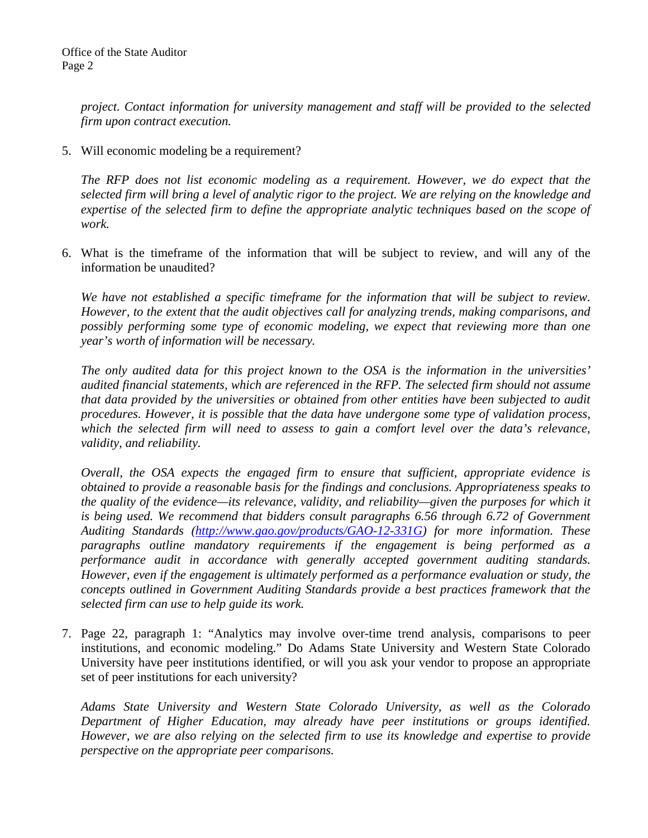*project. Contact information for university management and staff will be provided to the selected firm upon contract execution.*

5. Will economic modeling be a requirement?

*The RFP does not list economic modeling as a requirement. However, we do expect that the selected firm will bring a level of analytic rigor to the project. We are relying on the knowledge and expertise of the selected firm to define the appropriate analytic techniques based on the scope of work.*

6. What is the timeframe of the information that will be subject to review, and will any of the information be unaudited?

*We have not established a specific timeframe for the information that will be subject to review. However, to the extent that the audit objectives call for analyzing trends, making comparisons, and possibly performing some type of economic modeling, we expect that reviewing more than one year's worth of information will be necessary.*

*The only audited data for this project known to the OSA is the information in the universities' audited financial statements, which are referenced in the RFP. The selected firm should not assume that data provided by the universities or obtained from other entities have been subjected to audit procedures. However, it is possible that the data have undergone some type of validation process, which the selected firm will need to assess to gain a comfort level over the data's relevance, validity, and reliability.*

*Overall, the OSA expects the engaged firm to ensure that sufficient, appropriate evidence is obtained to provide a reasonable basis for the findings and conclusions. Appropriateness speaks to the quality of the evidence—its relevance, validity, and reliability—given the purposes for which it is being used. We recommend that bidders consult paragraphs 6.56 through 6.72 of Government Auditing Standards [\(http://www.gao.gov/products/GAO-12-331G\)](http://www.gao.gov/products/GAO-12-331G) for more information. These paragraphs outline mandatory requirements if the engagement is being performed as a performance audit in accordance with generally accepted government auditing standards. However, even if the engagement is ultimately performed as a performance evaluation or study, the concepts outlined in Government Auditing Standards provide a best practices framework that the selected firm can use to help guide its work.*

7. Page 22, paragraph 1: "Analytics may involve over-time trend analysis, comparisons to peer institutions, and economic modeling." Do Adams State University and Western State Colorado University have peer institutions identified, or will you ask your vendor to propose an appropriate set of peer institutions for each university?

*Adams State University and Western State Colorado University, as well as the Colorado Department of Higher Education, may already have peer institutions or groups identified. However, we are also relying on the selected firm to use its knowledge and expertise to provide perspective on the appropriate peer comparisons.*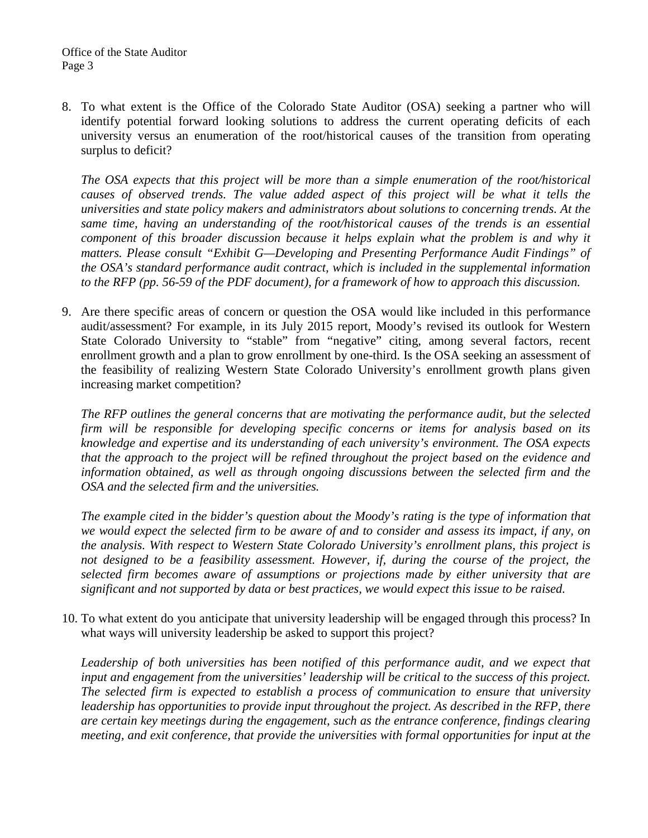8. To what extent is the Office of the Colorado State Auditor (OSA) seeking a partner who will identify potential forward looking solutions to address the current operating deficits of each university versus an enumeration of the root/historical causes of the transition from operating surplus to deficit?

*The OSA expects that this project will be more than a simple enumeration of the root/historical causes of observed trends. The value added aspect of this project will be what it tells the universities and state policy makers and administrators about solutions to concerning trends. At the same time, having an understanding of the root/historical causes of the trends is an essential component of this broader discussion because it helps explain what the problem is and why it matters. Please consult "Exhibit G—Developing and Presenting Performance Audit Findings" of the OSA's standard performance audit contract, which is included in the supplemental information to the RFP (pp. 56-59 of the PDF document), for a framework of how to approach this discussion.*

9. Are there specific areas of concern or question the OSA would like included in this performance audit/assessment? For example, in its July 2015 report, Moody's revised its outlook for Western State Colorado University to "stable" from "negative" citing, among several factors, recent enrollment growth and a plan to grow enrollment by one-third. Is the OSA seeking an assessment of the feasibility of realizing Western State Colorado University's enrollment growth plans given increasing market competition?

*The RFP outlines the general concerns that are motivating the performance audit, but the selected firm will be responsible for developing specific concerns or items for analysis based on its knowledge and expertise and its understanding of each university's environment. The OSA expects that the approach to the project will be refined throughout the project based on the evidence and information obtained, as well as through ongoing discussions between the selected firm and the OSA and the selected firm and the universities.*

*The example cited in the bidder's question about the Moody's rating is the type of information that we would expect the selected firm to be aware of and to consider and assess its impact, if any, on the analysis. With respect to Western State Colorado University's enrollment plans, this project is*  not designed to be a feasibility assessment. However, if, during the course of the project, the *selected firm becomes aware of assumptions or projections made by either university that are significant and not supported by data or best practices, we would expect this issue to be raised.*

10. To what extent do you anticipate that university leadership will be engaged through this process? In what ways will university leadership be asked to support this project?

*Leadership of both universities has been notified of this performance audit, and we expect that input and engagement from the universities' leadership will be critical to the success of this project. The selected firm is expected to establish a process of communication to ensure that university leadership has opportunities to provide input throughout the project. As described in the RFP, there are certain key meetings during the engagement, such as the entrance conference, findings clearing meeting, and exit conference, that provide the universities with formal opportunities for input at the*